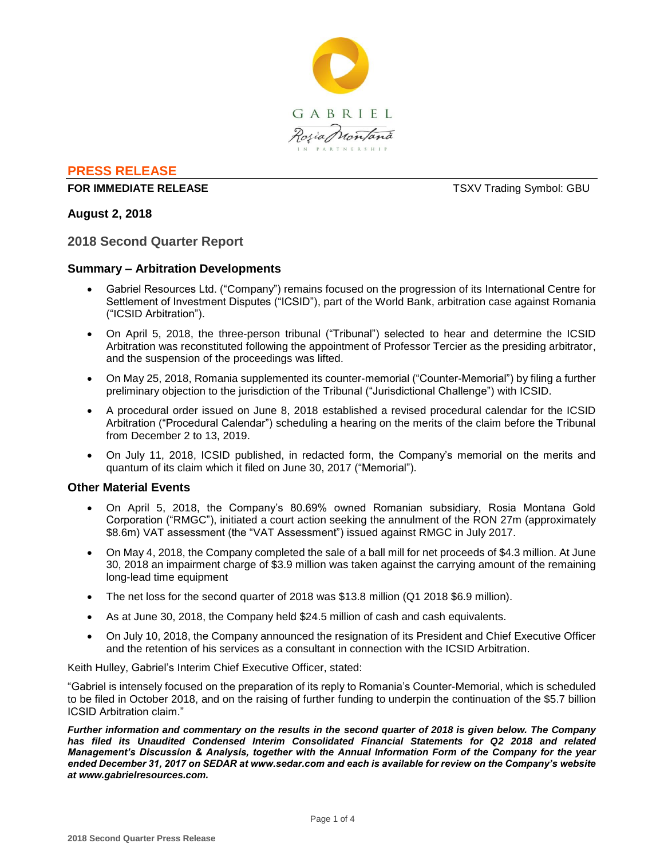

# **PRESS RELEASE**

### **FOR IMMEDIATE RELEASE TEXV Trading Symbol: GBU**

### **August 2, 2018**

### **2018 Second Quarter Report**

### **Summary – Arbitration Developments**

- Gabriel Resources Ltd. ("Company") remains focused on the progression of its International Centre for Settlement of Investment Disputes ("ICSID"), part of the World Bank, arbitration case against Romania ("ICSID Arbitration").
- On April 5, 2018, the three-person tribunal ("Tribunal") selected to hear and determine the ICSID Arbitration was reconstituted following the appointment of Professor Tercier as the presiding arbitrator, and the suspension of the proceedings was lifted.
- On May 25, 2018, Romania supplemented its counter-memorial ("Counter-Memorial") by filing a further preliminary objection to the jurisdiction of the Tribunal ("Jurisdictional Challenge") with ICSID.
- A procedural order issued on June 8, 2018 established a revised procedural calendar for the ICSID Arbitration ("Procedural Calendar") scheduling a hearing on the merits of the claim before the Tribunal from December 2 to 13, 2019.
- On July 11, 2018, ICSID published, in redacted form, the Company's memorial on the merits and quantum of its claim which it filed on June 30, 2017 ("Memorial").

### **Other Material Events**

- On April 5, 2018, the Company's 80.69% owned Romanian subsidiary, Rosia Montana Gold Corporation ("RMGC"), initiated a court action seeking the annulment of the RON 27m (approximately \$8.6m) VAT assessment (the "VAT Assessment") issued against RMGC in July 2017.
- On May 4, 2018, the Company completed the sale of a ball mill for net proceeds of \$4.3 million. At June 30, 2018 an impairment charge of \$3.9 million was taken against the carrying amount of the remaining long-lead time equipment
- The net loss for the second quarter of 2018 was \$13.8 million (Q1 2018 \$6.9 million).
- As at June 30, 2018, the Company held \$24.5 million of cash and cash equivalents.
- On July 10, 2018, the Company announced the resignation of its President and Chief Executive Officer and the retention of his services as a consultant in connection with the ICSID Arbitration.

Keith Hulley, Gabriel's Interim Chief Executive Officer, stated:

"Gabriel is intensely focused on the preparation of its reply to Romania's Counter-Memorial, which is scheduled to be filed in October 2018, and on the raising of further funding to underpin the continuation of the \$5.7 billion ICSID Arbitration claim."

*Further information and commentary on the results in the second quarter of 2018 is given below. The Company has filed its Unaudited Condensed Interim Consolidated Financial Statements for Q2 2018 and related Management's Discussion & Analysis, together with the Annual Information Form of the Company for the year ended December 31, 2017 on SEDAR at www.sedar.com and each is available for review on the Company's website at www.gabrielresources.com.*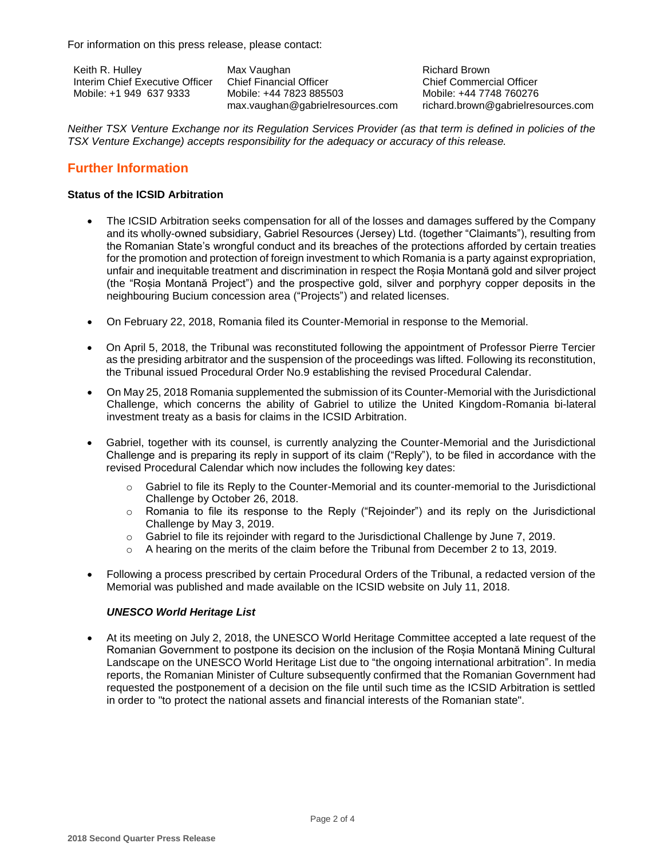For information on this press release, please contact:

Keith R. Hulley Interim Chief Executive Officer Mobile: +1 949 637 9333

Max Vaughan Chief Financial Officer Mobile: +44 7823 885503 max.vaughan@gabrielresources.com

Richard Brown Chief Commercial Officer Mobile: +44 7748 760276 richard.brown@gabrielresources.com

*Neither TSX Venture Exchange nor its Regulation Services Provider (as that term is defined in policies of the TSX Venture Exchange) accepts responsibility for the adequacy or accuracy of this release.*

# **Further Information**

### **Status of the ICSID Arbitration**

- The ICSID Arbitration seeks compensation for all of the losses and damages suffered by the Company and its wholly-owned subsidiary, Gabriel Resources (Jersey) Ltd. (together "Claimants"), resulting from the Romanian State's wrongful conduct and its breaches of the protections afforded by certain treaties for the promotion and protection of foreign investment to which Romania is a party against expropriation, unfair and inequitable treatment and discrimination in respect the Roșia Montană gold and silver project (the "Roșia Montană Project") and the prospective gold, silver and porphyry copper deposits in the neighbouring Bucium concession area ("Projects") and related licenses.
- On February 22, 2018, Romania filed its Counter-Memorial in response to the Memorial.
- On April 5, 2018, the Tribunal was reconstituted following the appointment of Professor Pierre Tercier as the presiding arbitrator and the suspension of the proceedings was lifted. Following its reconstitution, the Tribunal issued Procedural Order No.9 establishing the revised Procedural Calendar.
- On May 25, 2018 Romania supplemented the submission of its Counter-Memorial with the Jurisdictional Challenge, which concerns the ability of Gabriel to utilize the United Kingdom-Romania bi-lateral investment treaty as a basis for claims in the ICSID Arbitration.
- Gabriel, together with its counsel, is currently analyzing the Counter-Memorial and the Jurisdictional Challenge and is preparing its reply in support of its claim ("Reply"), to be filed in accordance with the revised Procedural Calendar which now includes the following key dates:
	- $\circ$  Gabriel to file its Reply to the Counter-Memorial and its counter-memorial to the Jurisdictional Challenge by October 26, 2018.
	- $\circ$  Romania to file its response to the Reply ("Rejoinder") and its reply on the Jurisdictional Challenge by May 3, 2019.
	- o Gabriel to file its rejoinder with regard to the Jurisdictional Challenge by June 7, 2019.
	- o A hearing on the merits of the claim before the Tribunal from December 2 to 13, 2019.
- Following a process prescribed by certain Procedural Orders of the Tribunal, a redacted version of the Memorial was published and made available on the ICSID website on July 11, 2018.

## *UNESCO World Heritage List*

 At its meeting on July 2, 2018, the UNESCO World Heritage Committee accepted a late request of the Romanian Government to postpone its decision on the inclusion of the Roșia Montană Mining Cultural Landscape on the UNESCO World Heritage List due to "the ongoing international arbitration". In media reports, the Romanian Minister of Culture subsequently confirmed that the Romanian Government had requested the postponement of a decision on the file until such time as the ICSID Arbitration is settled in order to "to protect the national assets and financial interests of the Romanian state".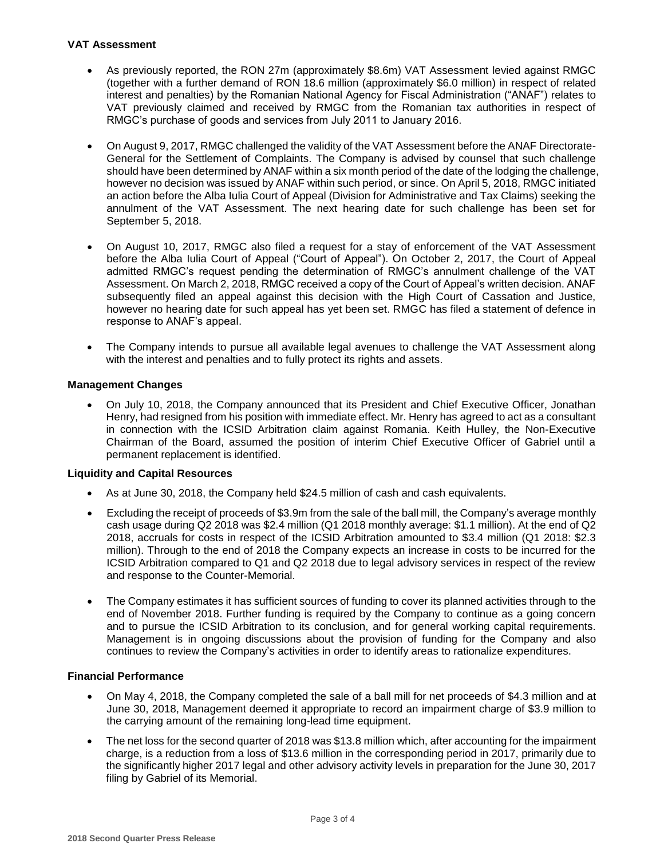### **VAT Assessment**

- As previously reported, the RON 27m (approximately \$8.6m) VAT Assessment levied against RMGC (together with a further demand of RON 18.6 million (approximately \$6.0 million) in respect of related interest and penalties) by the Romanian National Agency for Fiscal Administration ("ANAF") relates to VAT previously claimed and received by RMGC from the Romanian tax authorities in respect of RMGC's purchase of goods and services from July 2011 to January 2016.
- On August 9, 2017, RMGC challenged the validity of the VAT Assessment before the ANAF Directorate-General for the Settlement of Complaints. The Company is advised by counsel that such challenge should have been determined by ANAF within a six month period of the date of the lodging the challenge, however no decision was issued by ANAF within such period, or since. On April 5, 2018, RMGC initiated an action before the Alba Iulia Court of Appeal (Division for Administrative and Tax Claims) seeking the annulment of the VAT Assessment. The next hearing date for such challenge has been set for September 5, 2018.
- On August 10, 2017, RMGC also filed a request for a stay of enforcement of the VAT Assessment before the Alba Iulia Court of Appeal ("Court of Appeal"). On October 2, 2017, the Court of Appeal admitted RMGC's request pending the determination of RMGC's annulment challenge of the VAT Assessment. On March 2, 2018, RMGC received a copy of the Court of Appeal's written decision. ANAF subsequently filed an appeal against this decision with the High Court of Cassation and Justice, however no hearing date for such appeal has yet been set. RMGC has filed a statement of defence in response to ANAF's appeal.
- The Company intends to pursue all available legal avenues to challenge the VAT Assessment along with the interest and penalties and to fully protect its rights and assets.

### **Management Changes**

 On July 10, 2018, the Company announced that its President and Chief Executive Officer, Jonathan Henry, had resigned from his position with immediate effect. Mr. Henry has agreed to act as a consultant in connection with the ICSID Arbitration claim against Romania. Keith Hulley, the Non-Executive Chairman of the Board, assumed the position of interim Chief Executive Officer of Gabriel until a permanent replacement is identified.

### **Liquidity and Capital Resources**

- As at June 30, 2018, the Company held \$24.5 million of cash and cash equivalents.
- Excluding the receipt of proceeds of \$3.9m from the sale of the ball mill, the Company's average monthly cash usage during Q2 2018 was \$2.4 million (Q1 2018 monthly average: \$1.1 million). At the end of Q2 2018, accruals for costs in respect of the ICSID Arbitration amounted to \$3.4 million (Q1 2018: \$2.3 million). Through to the end of 2018 the Company expects an increase in costs to be incurred for the ICSID Arbitration compared to Q1 and Q2 2018 due to legal advisory services in respect of the review and response to the Counter-Memorial.
- The Company estimates it has sufficient sources of funding to cover its planned activities through to the end of November 2018. Further funding is required by the Company to continue as a going concern and to pursue the ICSID Arbitration to its conclusion, and for general working capital requirements. Management is in ongoing discussions about the provision of funding for the Company and also continues to review the Company's activities in order to identify areas to rationalize expenditures.

### **Financial Performance**

- On May 4, 2018, the Company completed the sale of a ball mill for net proceeds of \$4.3 million and at June 30, 2018, Management deemed it appropriate to record an impairment charge of \$3.9 million to the carrying amount of the remaining long-lead time equipment.
- The net loss for the second quarter of 2018 was \$13.8 million which, after accounting for the impairment charge, is a reduction from a loss of \$13.6 million in the corresponding period in 2017, primarily due to the significantly higher 2017 legal and other advisory activity levels in preparation for the June 30, 2017 filing by Gabriel of its Memorial.